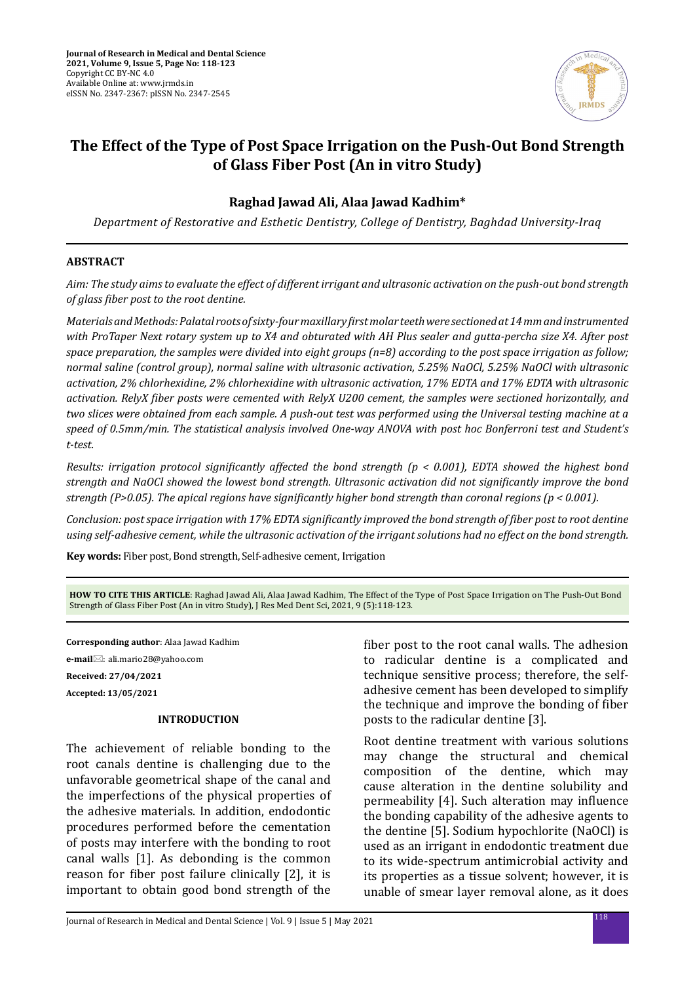

# **The Effect of the Type of Post Space Irrigation on the Push-Out Bond Strength of Glass Fiber Post (An in vitro Study)**

# **Raghad Jawad Ali, Alaa Jawad Kadhim\***

*Department of Restorative and Esthetic Dentistry, College of Dentistry, Baghdad University-Iraq*

### **ABSTRACT**

*Aim: The study aims to evaluate the effect of different irrigant and ultrasonic activation on the push-out bond strength of glass fiber post to the root dentine.* 

*Materials and Methods: Palatal roots of sixty-four maxillary first molar teeth were sectioned at 14 mm and instrumented with ProTaper Next rotary system up to X4 and obturated with AH Plus sealer and gutta-percha size X4. After post space preparation, the samples were divided into eight groups (n=8) according to the post space irrigation as follow; normal saline (control group), normal saline with ultrasonic activation, 5.25% NaOCl, 5.25% NaOCl with ultrasonic activation, 2% chlorhexidine, 2% chlorhexidine with ultrasonic activation, 17% EDTA and 17% EDTA with ultrasonic activation. RelyX fiber posts were cemented with RelyX U200 cement, the samples were sectioned horizontally, and two slices were obtained from each sample. A push-out test was performed using the Universal testing machine at a speed of 0.5mm/min. The statistical analysis involved One-way ANOVA with post hoc Bonferroni test and Student's t-test.* 

*Results: irrigation protocol significantly affected the bond strength (p < 0.001), EDTA showed the highest bond strength and NaOCl showed the lowest bond strength. Ultrasonic activation did not significantly improve the bond strength (P>0.05). The apical regions have significantly higher bond strength than coronal regions (p < 0.001).* 

*Conclusion: post space irrigation with 17% EDTA significantly improved the bond strength of fiber post to root dentine using self-adhesive cement, while the ultrasonic activation of the irrigant solutions had no effect on the bond strength.*

**Key words:** Fiber post, Bond strength, Self-adhesive cement, Irrigation

**HOW TO CITE THIS ARTICLE**: Raghad Jawad Ali, Alaa Jawad Kadhim, The Effect of the Type of Post Space Irrigation on The Push-Out Bond Strength of Glass Fiber Post (An in vitro Study), J Res Med Dent Sci, 2021, 9 (5):118-123.

**Corresponding author**: Alaa Jawad Kadhim

**e-mail**⊠: ali.mario28@yahoo.com

**Received: 27/04/2021 Accepted: 13/05/2021**

### **INTRODUCTION**

The achievement of reliable bonding to the root canals dentine is challenging due to the unfavorable geometrical shape of the canal and the imperfections of the physical properties of the adhesive materials. In addition, endodontic procedures performed before the cementation of posts may interfere with the bonding to root canal walls [1]. As debonding is the common reason for fiber post failure clinically [2], it is important to obtain good bond strength of the fiber post to the root canal walls. The adhesion to radicular dentine is a complicated and technique sensitive process; therefore, the selfadhesive cement has been developed to simplify the technique and improve the bonding of fiber posts to the radicular dentine [3].

Root dentine treatment with various solutions may change the structural and chemical composition of the dentine, which may cause alteration in the dentine solubility and permeability [4]. Such alteration may influence the bonding capability of the adhesive agents to the dentine [5]. Sodium hypochlorite (NaOCl) is used as an irrigant in endodontic treatment due to its wide-spectrum antimicrobial activity and its properties as a tissue solvent; however, it is unable of smear layer removal alone, as it does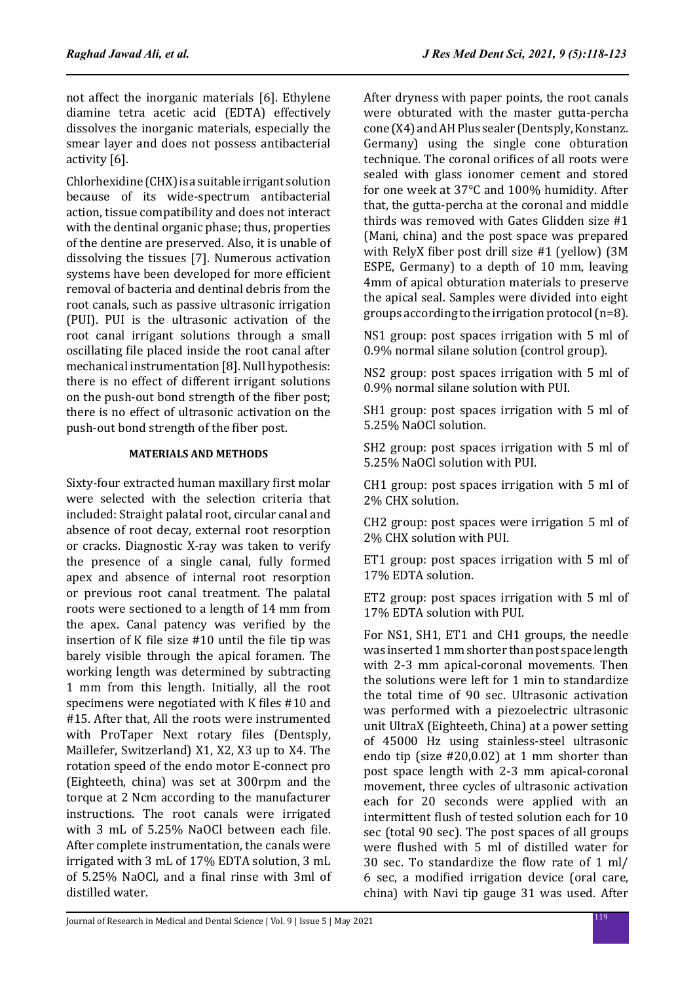not affect the inorganic materials [6]. Ethylene diamine tetra acetic acid (EDTA) effectively dissolves the inorganic materials, especially the smear layer and does not possess antibacterial activity [6].

Chlorhexidine (CHX) is a suitable irrigant solution because of its wide-spectrum antibacterial action, tissue compatibility and does not interact with the dentinal organic phase; thus, properties of the dentine are preserved. Also, it is unable of dissolving the tissues [7]. Numerous activation systems have been developed for more efficient removal of bacteria and dentinal debris from the root canals, such as passive ultrasonic irrigation (PUI). PUI is the ultrasonic activation of the root canal irrigant solutions through a small oscillating file placed inside the root canal after mechanical instrumentation [8]. Null hypothesis: there is no effect of different irrigant solutions on the push-out bond strength of the fiber post; there is no effect of ultrasonic activation on the push-out bond strength of the fiber post.

### **MATERIALS AND METHODS**

Sixty-four extracted human maxillary first molar were selected with the selection criteria that included: Straight palatal root, circular canal and absence of root decay, external root resorption or cracks. Diagnostic X-ray was taken to verify the presence of a single canal, fully formed apex and absence of internal root resorption or previous root canal treatment. The palatal roots were sectioned to a length of 14 mm from the apex. Canal patency was verified by the insertion of K file size #10 until the file tip was barely visible through the apical foramen. The working length was determined by subtracting 1 mm from this length. Initially, all the root specimens were negotiated with K files #10 and #15. After that, All the roots were instrumented with ProTaper Next rotary files (Dentsply, Maillefer, Switzerland) X1, X2, X3 up to X4. The rotation speed of the endo motor E-connect pro (Eighteeth, china) was set at 300rpm and the torque at 2 Ncm according to the manufacturer instructions. The root canals were irrigated with 3 mL of 5.25% NaOCl between each file. After complete instrumentation, the canals were irrigated with 3 mL of 17% EDTA solution, 3 mL of 5.25% NaOCl, and a final rinse with 3ml of distilled water.

After dryness with paper points, the root canals were obturated with the master gutta-percha cone (X4) and AH Plus sealer (Dentsply, Konstanz. Germany) using the single cone obturation technique. The coronal orifices of all roots were sealed with glass ionomer cement and stored for one week at 37°C and 100% humidity. After that, the gutta-percha at the coronal and middle thirds was removed with Gates Glidden size #1 (Mani, china) and the post space was prepared with RelyX fiber post drill size #1 (yellow) (3M ESPE, Germany) to a depth of 10 mm, leaving 4mm of apical obturation materials to preserve the apical seal. Samples were divided into eight groups according to the irrigation protocol (n=8).

NS1 group: post spaces irrigation with 5 ml of 0.9% normal silane solution (control group).

NS2 group: post spaces irrigation with 5 ml of 0.9% normal silane solution with PUI.

SH1 group: post spaces irrigation with 5 ml of 5.25% NaOCl solution.

SH2 group: post spaces irrigation with 5 ml of 5.25% NaOCl solution with PUI.

CH1 group: post spaces irrigation with 5 ml of 2% CHX solution.

CH2 group: post spaces were irrigation 5 ml of 2% CHX solution with PUI.

ET1 group: post spaces irrigation with 5 ml of 17% EDTA solution.

ET2 group: post spaces irrigation with 5 ml of 17% EDTA solution with PUI.

For NS1, SH1, ET1 and CH1 groups, the needle was inserted 1 mm shorter than post space length with 2-3 mm apical-coronal movements. Then the solutions were left for 1 min to standardize the total time of 90 sec. Ultrasonic activation was performed with a piezoelectric ultrasonic unit UltraX (Eighteeth, China) at a power setting of 45000 Hz using stainless-steel ultrasonic endo tip (size #20,0.02) at 1 mm shorter than post space length with 2-3 mm apical-coronal movement, three cycles of ultrasonic activation each for 20 seconds were applied with an intermittent flush of tested solution each for 10 sec (total 90 sec). The post spaces of all groups were flushed with 5 ml of distilled water for 30 sec. To standardize the flow rate of 1 ml/ 6 sec, a modified irrigation device (oral care, china) with Navi tip gauge 31 was used. After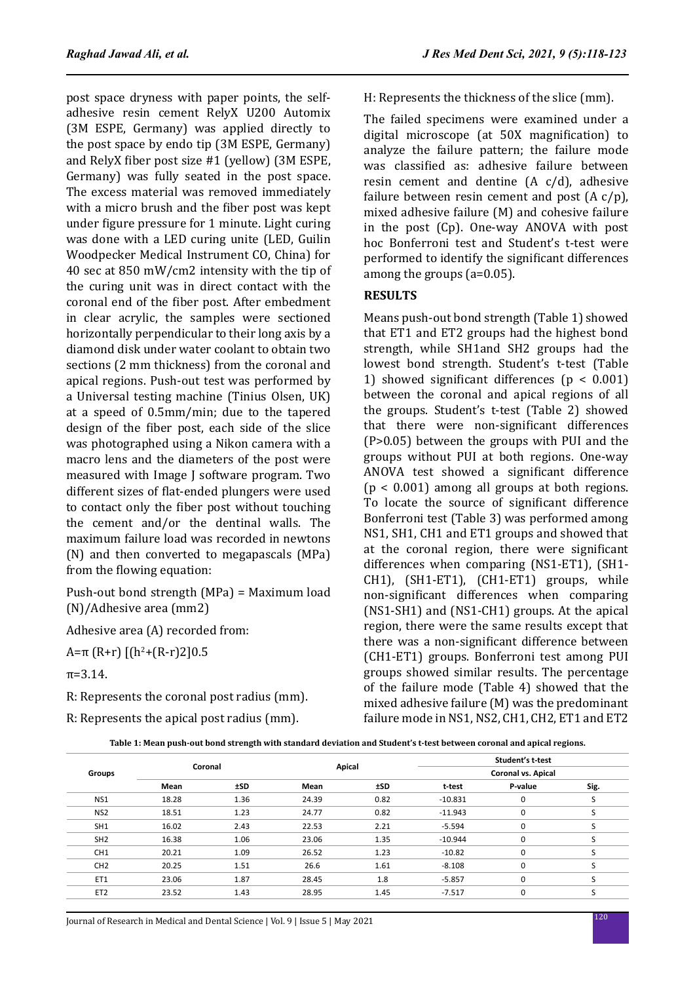post space dryness with paper points, the selfadhesive resin cement RelyX U200 Automix (3M ESPE, Germany) was applied directly to the post space by endo tip (3M ESPE, Germany) and RelyX fiber post size #1 (yellow) (3M ESPE, Germany) was fully seated in the post space. The excess material was removed immediately with a micro brush and the fiber post was kept under figure pressure for 1 minute. Light curing was done with a LED curing unite (LED, Guilin Woodpecker Medical Instrument CO, China) for 40 sec at 850 mW/cm2 intensity with the tip of the curing unit was in direct contact with the coronal end of the fiber post. After embedment in clear acrylic, the samples were sectioned horizontally perpendicular to their long axis by a diamond disk under water coolant to obtain two sections (2 mm thickness) from the coronal and apical regions. Push-out test was performed by a Universal testing machine (Tinius Olsen, UK) at a speed of 0.5mm/min; due to the tapered design of the fiber post, each side of the slice was photographed using a Nikon camera with a macro lens and the diameters of the post were measured with Image J software program. Two different sizes of flat-ended plungers were used to contact only the fiber post without touching the cement and/or the dentinal walls. The maximum failure load was recorded in newtons (N) and then converted to megapascals (MPa) from the flowing equation:

Push-out bond strength (MPa) = Maximum load (N)/Adhesive area (mm2)

Adhesive area (A) recorded from:

A=π (R+r) [(h<sup>2</sup>+(R-r)2]0.5

 $\pi = 3.14$ .

R: Represents the coronal post radius (mm).

R: Represents the apical post radius (mm).

H: Represents the thickness of the slice (mm).

The failed specimens were examined under a digital microscope (at 50X magnification) to analyze the failure pattern; the failure mode was classified as: adhesive failure between resin cement and dentine (A c/d), adhesive failure between resin cement and post  $(A c/p)$ , mixed adhesive failure (M) and cohesive failure in the post (Cp). One-way ANOVA with post hoc Bonferroni test and Student's t-test were performed to identify the significant differences among the groups (a=0.05).

# **RESULTS**

Means push-out bond strength (Table 1) showed that ET1 and ET2 groups had the highest bond strength, while SH1and SH2 groups had the lowest bond strength. Student's t-test (Table 1) showed significant differences (p < 0.001) between the coronal and apical regions of all the groups. Student's t-test (Table 2) showed that there were non-significant differences (P>0.05) between the groups with PUI and the groups without PUI at both regions. One-way ANOVA test showed a significant difference  $(p < 0.001)$  among all groups at both regions. To locate the source of significant difference Bonferroni test (Table 3) was performed among NS1, SH1, CH1 and ET1 groups and showed that at the coronal region, there were significant differences when comparing (NS1-ET1), (SH1- CH1), (SH1-ET1), (CH1-ET1) groups, while non-significant differences when comparing (NS1-SH1) and (NS1-CH1) groups. At the apical region, there were the same results except that there was a non-significant difference between (CH1-ET1) groups. Bonferroni test among PUI groups showed similar results. The percentage of the failure mode (Table 4) showed that the mixed adhesive failure (M) was the predominant failure mode in NS1, NS2, CH1, CH2, ET1 and ET2

**Table 1: Mean push-out bond strength with standard deviation and Student's t-test between coronal and apical regions.**

| Groups          | Coronal |       | Apical |       | Student's t-test<br>Coronal vs. Apical |             |                 |
|-----------------|---------|-------|--------|-------|----------------------------------------|-------------|-----------------|
|                 |         |       |        |       |                                        |             |                 |
|                 | NS1     | 18.28 | 1.36   | 24.39 | 0.82                                   | $-10.831$   | 0               |
| NS <sub>2</sub> | 18.51   | 1.23  | 24.77  | 0.82  | $-11.943$                              | $\Omega$    | $\epsilon$      |
| SH <sub>1</sub> | 16.02   | 2.43  | 22.53  | 2.21  | $-5.594$                               | $\Omega$    | $\epsilon$<br>ב |
| SH <sub>2</sub> | 16.38   | 1.06  | 23.06  | 1.35  | $-10.944$                              | 0           | C               |
| CH <sub>1</sub> | 20.21   | 1.09  | 26.52  | 1.23  | $-10.82$                               | $\Omega$    | $\epsilon$      |
| CH <sub>2</sub> | 20.25   | 1.51  | 26.6   | 1.61  | $-8.108$                               | $\mathbf 0$ |                 |
| ET1             | 23.06   | 1.87  | 28.45  | 1.8   | $-5.857$                               | $\Omega$    | $\epsilon$      |
| ET <sub>2</sub> | 23.52   | 1.43  | 28.95  | 1.45  | $-7.517$                               | $\mathbf 0$ |                 |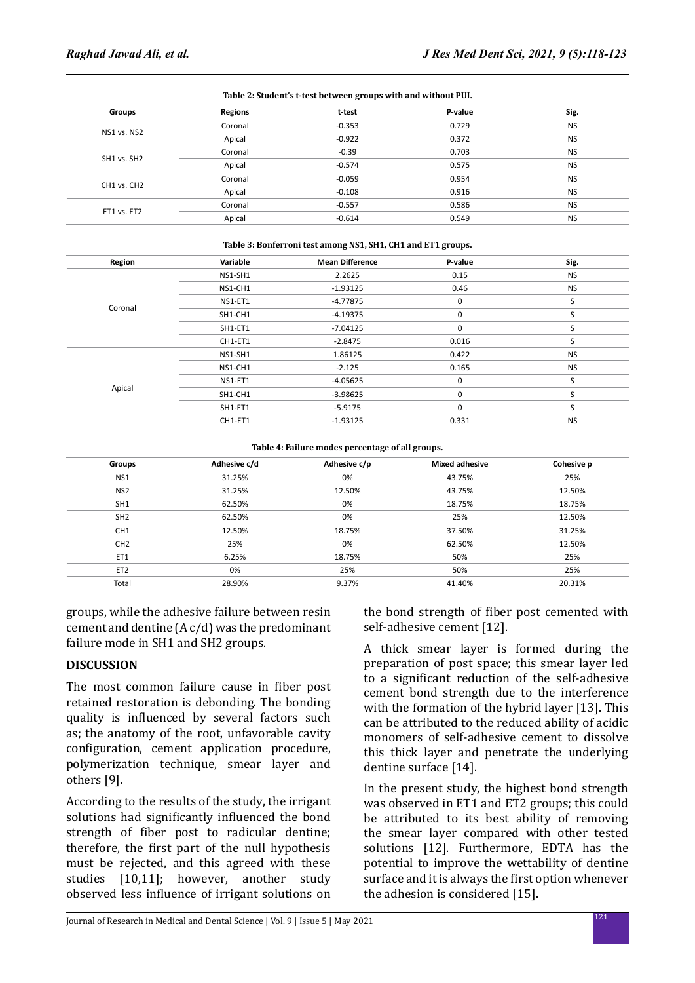| Table 2: Student's t-test between groups with and without PUI. |                |          |         |           |  |
|----------------------------------------------------------------|----------------|----------|---------|-----------|--|
| Groups                                                         | <b>Regions</b> | t-test   | P-value | Sig.      |  |
|                                                                | Coronal        | $-0.353$ | 0.729   | <b>NS</b> |  |
| NS1 vs. NS2                                                    | Apical         | $-0.922$ | 0.372   | <b>NS</b> |  |
| SH1 vs. SH2                                                    | Coronal        | $-0.39$  | 0.703   | <b>NS</b> |  |
|                                                                | Apical         | $-0.574$ | 0.575   | <b>NS</b> |  |
|                                                                | Coronal        | $-0.059$ | 0.954   | <b>NS</b> |  |
| CH1 vs. CH2                                                    | Apical         | $-0.108$ | 0.916   | <b>NS</b> |  |
| ET1 vs. ET2                                                    | Coronal        | $-0.557$ | 0.586   | <b>NS</b> |  |
|                                                                | Apical         | $-0.614$ | 0.549   | <b>NS</b> |  |
|                                                                |                |          |         |           |  |

#### **Table 3: Bonferroni test among NS1, SH1, CH1 and ET1 groups.**

| Region  | Variable | <b>Mean Difference</b> | P-value     | Sig.      |
|---------|----------|------------------------|-------------|-----------|
|         | NS1-SH1  | 2.2625                 | 0.15        | <b>NS</b> |
|         | NS1-CH1  | $-1.93125$             | 0.46        | <b>NS</b> |
| Coronal | NS1-ET1  | $-4.77875$             | 0           | S         |
|         | SH1-CH1  | $-4.19375$             | 0           | S         |
|         | SH1-ET1  | $-7.04125$             | 0           | S         |
|         | CH1-ET1  | $-2.8475$              | 0.016       | S         |
|         | NS1-SH1  | 1.86125                | 0.422       | <b>NS</b> |
|         | NS1-CH1  | $-2.125$               | 0.165       | <b>NS</b> |
|         | NS1-ET1  | $-4.05625$             | 0           | S         |
| Apical  | SH1-CH1  | $-3.98625$             | 0           | S         |
|         | SH1-ET1  | $-5.9175$              | $\mathbf 0$ | S         |
|         | CH1-ET1  | $-1.93125$             | 0.331       | <b>NS</b> |

#### **Table 4: Failure modes percentage of all groups.**

| Groups          | Adhesive c/d | Adhesive c/p | <b>Mixed adhesive</b> | Cohesive p |
|-----------------|--------------|--------------|-----------------------|------------|
| NS <sub>1</sub> | 31.25%       | 0%           | 43.75%                | 25%        |
| NS <sub>2</sub> | 31.25%       | 12.50%       | 43.75%                | 12.50%     |
| SH <sub>1</sub> | 62.50%       | 0%           | 18.75%                | 18.75%     |
| SH <sub>2</sub> | 62.50%       | 0%           | 25%                   | 12.50%     |
| CH <sub>1</sub> | 12.50%       | 18.75%       | 37.50%                | 31.25%     |
| CH <sub>2</sub> | 25%          | 0%           | 62.50%                | 12.50%     |
| ET1             | 6.25%        | 18.75%       | 50%                   | 25%        |
| ET <sub>2</sub> | 0%           | 25%          | 50%                   | 25%        |
| Total           | 28.90%       | 9.37%        | 41.40%                | 20.31%     |

groups, while the adhesive failure between resin cement and dentine (A c/d) was the predominant failure mode in SH1 and SH2 groups.

### **DISCUSSION**

The most common failure cause in fiber post retained restoration is debonding. The bonding quality is influenced by several factors such as; the anatomy of the root, unfavorable cavity configuration, cement application procedure, polymerization technique, smear layer and others [9].

According to the results of the study, the irrigant solutions had significantly influenced the bond strength of fiber post to radicular dentine; therefore, the first part of the null hypothesis must be rejected, and this agreed with these studies [10,11]; however, another study observed less influence of irrigant solutions on the bond strength of fiber post cemented with self-adhesive cement [12].

A thick smear layer is formed during the preparation of post space; this smear layer led to a significant reduction of the self-adhesive cement bond strength due to the interference with the formation of the hybrid layer [13]. This can be attributed to the reduced ability of acidic monomers of self-adhesive cement to dissolve this thick layer and penetrate the underlying dentine surface [14].

In the present study, the highest bond strength was observed in ET1 and ET2 groups; this could be attributed to its best ability of removing the smear layer compared with other tested solutions [12]. Furthermore, EDTA has the potential to improve the wettability of dentine surface and it is always the first option whenever the adhesion is considered [15].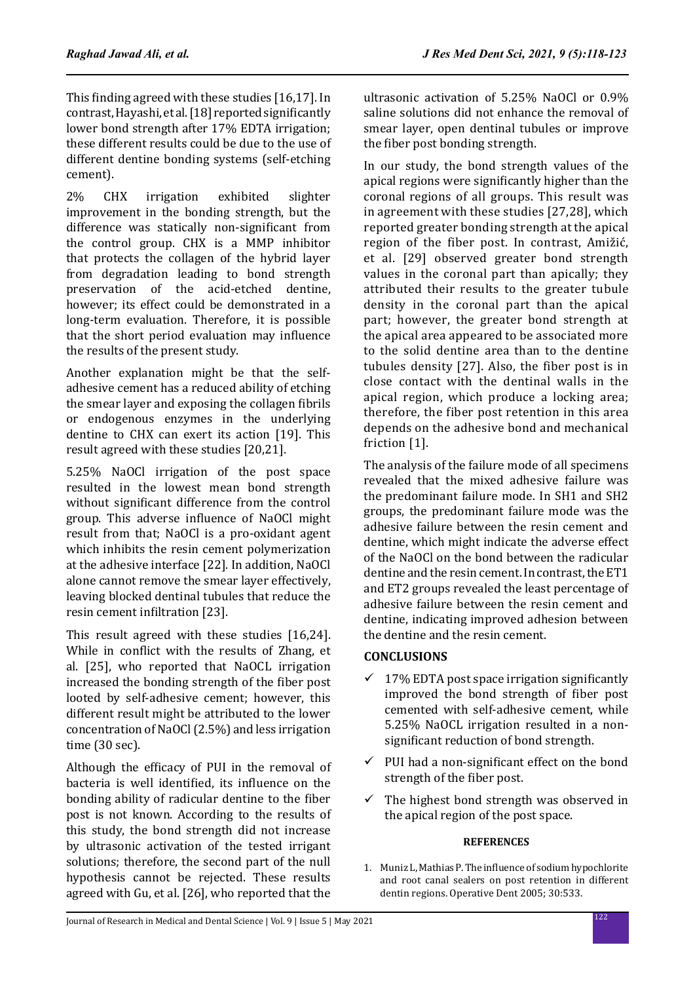This finding agreed with these studies [16,17]. In contrast, Hayashi, et al. [18] reported significantly lower bond strength after 17% EDTA irrigation; these different results could be due to the use of different dentine bonding systems (self-etching cement).

2% CHX irrigation exhibited slighter improvement in the bonding strength, but the difference was statically non-significant from the control group. CHX is a MMP inhibitor that protects the collagen of the hybrid layer from degradation leading to bond strength<br>preservation of the acid-etched dentine.  $preservation$  of the however; its effect could be demonstrated in a long-term evaluation. Therefore, it is possible that the short period evaluation may influence the results of the present study.

Another explanation might be that the selfadhesive cement has a reduced ability of etching the smear layer and exposing the collagen fibrils or endogenous enzymes in the underlying dentine to CHX can exert its action [19]. This result agreed with these studies [20,21].

5.25% NaOCl irrigation of the post space resulted in the lowest mean bond strength without significant difference from the control group. This adverse influence of NaOCl might result from that; NaOCl is a pro-oxidant agent which inhibits the resin cement polymerization at the adhesive interface [22]. In addition, NaOCl alone cannot remove the smear layer effectively, leaving blocked dentinal tubules that reduce the resin cement infiltration [23].

This result agreed with these studies [16,24]. While in conflict with the results of Zhang, et al. [25], who reported that NaOCL irrigation increased the bonding strength of the fiber post looted by self-adhesive cement; however, this different result might be attributed to the lower concentration of NaOCl (2.5%) and less irrigation time (30 sec).

Although the efficacy of PUI in the removal of bacteria is well identified, its influence on the bonding ability of radicular dentine to the fiber post is not known. According to the results of this study, the bond strength did not increase by ultrasonic activation of the tested irrigant solutions; therefore, the second part of the null hypothesis cannot be rejected. These results agreed with Gu, et al. [26], who reported that the

ultrasonic activation of 5.25% NaOCl or 0.9% saline solutions did not enhance the removal of smear layer, open dentinal tubules or improve the fiber post bonding strength.

In our study, the bond strength values of the apical regions were significantly higher than the coronal regions of all groups. This result was in agreement with these studies [27,28], which reported greater bonding strength at the apical region of the fiber post. In contrast, Amižić, et al. [29] observed greater bond strength values in the coronal part than apically; they attributed their results to the greater tubule density in the coronal part than the apical part; however, the greater bond strength at the apical area appeared to be associated more to the solid dentine area than to the dentine tubules density [27]. Also, the fiber post is in close contact with the dentinal walls in the apical region, which produce a locking area; therefore, the fiber post retention in this area depends on the adhesive bond and mechanical friction [1].

The analysis of the failure mode of all specimens revealed that the mixed adhesive failure was the predominant failure mode. In SH1 and SH2 groups, the predominant failure mode was the adhesive failure between the resin cement and dentine, which might indicate the adverse effect of the NaOCl on the bond between the radicular dentine and the resin cement. In contrast, the ET1 and ET2 groups revealed the least percentage of adhesive failure between the resin cement and dentine, indicating improved adhesion between the dentine and the resin cement.

# **CONCLUSIONS**

- $\checkmark$  17% EDTA post space irrigation significantly improved the bond strength of fiber post cemented with self-adhesive cement, while 5.25% NaOCL irrigation resulted in a nonsignificant reduction of bond strength.
- $\checkmark$  PUI had a non-significant effect on the bond strength of the fiber post.
- $\checkmark$  The highest bond strength was observed in the apical region of the post space.

# **REFERENCES**

1. Muniz L, Mathias P. The influence of sodium hypochlorite and root canal sealers on post retention in different dentin regions. Operative Dent 2005; 30:533.